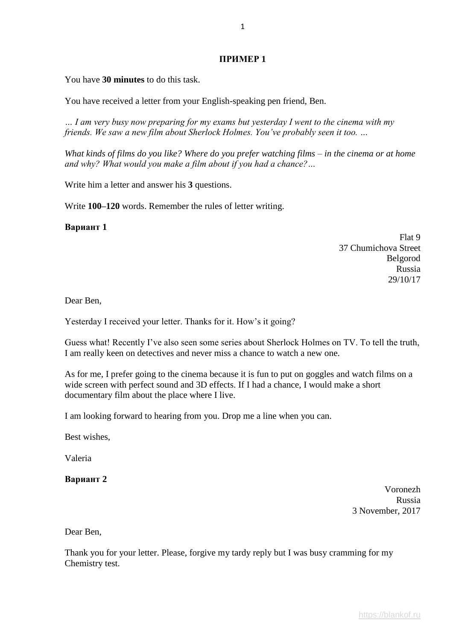## **ПРИМЕР 1**

You have **30 minutes** to do this task.

You have received a letter from your English-speaking pen friend, Ben.

*… I am very busy now preparing for my exams but yesterday I went to the cinema with my friends. We saw a new film about Sherlock Holmes. You've probably seen it too. …*

*What kinds of films do you like? Where do you prefer watching films – in the cinema or at home and why? What would you make a film about if you had a chance?…*

Write him a letter and answer his **3** questions.

Write **100–120** words. Remember the rules of letter writing.

**Вариант 1**

Flat 9 37 Chumichova Street Belgorod Russia 29/10/17

Dear Ben,

Yesterday I received your letter. Thanks for it. How's it going?

Guess what! Recently I've also seen some series about Sherlock Holmes on TV. To tell the truth, I am really keen on detectives and never miss a chance to watch a new one.

As for me, I prefer going to the cinema because it is fun to put on goggles and watch films on a wide screen with perfect sound and 3D effects. If I had a chance, I would make a short documentary film about the place where I live.

I am looking forward to hearing from you. Drop me a line when you can.

Best wishes,

Valeria

**Вариант 2**

Voronezh Russia 3 November, 2017

Dear Ben,

Thank you for your letter. Please, forgive my tardy reply but I was busy cramming for my Chemistry test.